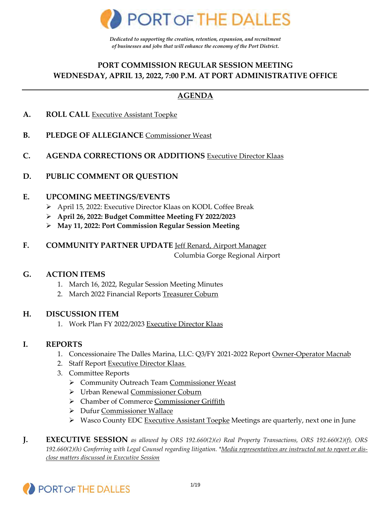

*Dedicated to supporting the creation, retention, expansion, and recruitment of businesses and jobs that will enhance the economy of the Port District.* 

## **PORT COMMISSION REGULAR SESSION MEETING WEDNESDAY, APRIL 13, 2022, 7:00 P.M. AT PORT ADMINISTRATIVE OFFICE**

## **AGENDA**

- **A. ROLL CALL** Executive Assistant Toepke
- **B. PLEDGE OF ALLEGIANCE** Commissioner Weast
- **C. AGENDA CORRECTIONS OR ADDITIONS** Executive Director Klaas
- **D. PUBLIC COMMENT OR QUESTION**

#### **E. UPCOMING MEETINGS/EVENTS**

- April 15, 2022: Executive Director Klaas on KODL Coffee Break
- **April 26, 2022: Budget Committee Meeting FY 2022/2023**
- **May 11, 2022: Port Commission Regular Session Meeting**
- **F. COMMUNITY PARTNER UPDATE** Jeff Renard, Airport Manager

Columbia Gorge Regional Airport

#### **G. ACTION ITEMS**

- 1. March 16, 2022, Regular Session Meeting Minutes
- 2. March 2022 Financial Reports Treasurer Coburn

#### **H. DISCUSSION ITEM**

1. Work Plan FY 2022/2023 Executive Director Klaas

#### **I. REPORTS**

- 1. Concessionaire The Dalles Marina, LLC: Q3/FY 2021-2022 Report Owner-Operator Macnab
- 2. Staff Report Executive Director Klaas
- 3. Committee Reports
	- ▶ Community Outreach Team Commissioner Weast
	- Urban Renewal Commissioner Coburn
	- Chamber of Commerce Commissioner Griffith
	- Dufur Commissioner Wallace
	- ▶ Wasco County EDC Executive Assistant Toepke Meetings are quarterly, next one in June
- **J. EXECUTIVE SESSION** *as allowed by ORS 192.660(2)(e) Real Property Transactions, ORS 192.660(2)(f), ORS 192.660(2)(h) Conferring with Legal Counsel regarding litigation. \*Media representatives are instructed not to report or disclose matters discussed in Executive Session*

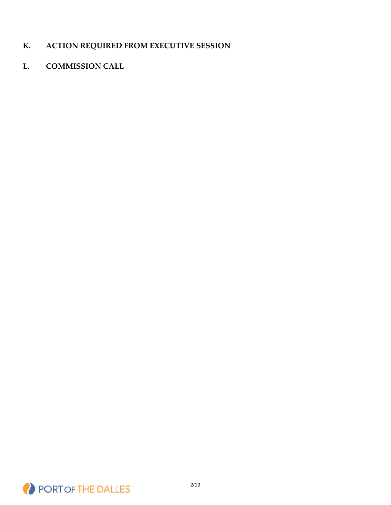## **K. ACTION REQUIRED FROM EXECUTIVE SESSION**

## **L. COMMISSION CALL**

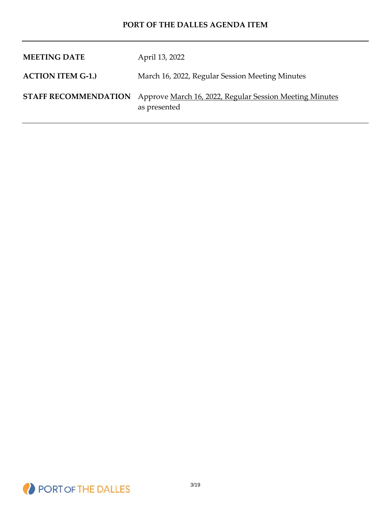| <b>MEETING DATE</b>      | April 13, 2022                                                                                      |
|--------------------------|-----------------------------------------------------------------------------------------------------|
| <b>ACTION ITEM G-1.)</b> | March 16, 2022, Regular Session Meeting Minutes                                                     |
|                          | <b>STAFF RECOMMENDATION</b> Approve March 16, 2022, Regular Session Meeting Minutes<br>as presented |

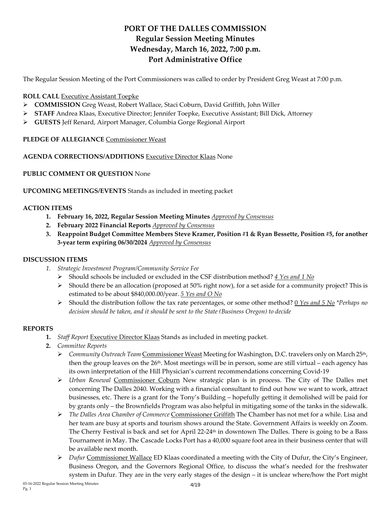## **PORT OF THE DALLES COMMISSION Regular Session Meeting Minutes Wednesday, March 16, 2022, 7:00 p.m. Port Administrative Office**

The Regular Session Meeting of the Port Commissioners was called to order by President Greg Weast at 7:00 p.m.

#### **ROLL CALL** Executive Assistant Toepke

- **COMMISSION** Greg Weast, Robert Wallace, Staci Coburn, David Griffith, John Willer
- **STAFF** Andrea Klaas, Executive Director; Jennifer Toepke, Executive Assistant; Bill Dick, Attorney
- **GUESTS** Jeff Renard, Airport Manager, Columbia Gorge Regional Airport

**PLEDGE OF ALLEGIANCE** Commissioner Weast

#### **AGENDA CORRECTIONS/ADDITIONS** Executive Director Klaas None

**PUBLIC COMMENT OR QUESTION** None

**UPCOMING MEETINGS/EVENTS** Stands as included in meeting packet

#### **ACTION ITEMS**

- **1. February 16, 2022, Regular Session Meeting Minutes** *Approved by Consensus*
- **2. February 2022 Financial Reports** *Approved by Consensus*
- **3. Reappoint Budget Committee Members Steve Kramer, Position #1 & Ryan Bessette, Position #5, for another 3-year term expiring 06/30/2024** *Approved by Consensus*

#### **DISCUSSION ITEMS**

- *1. Strategic Investment Program/Community Service Fee*
	- Should schools be included or excluded in the CSF distribution method? *4 Yes and 1 No*
	- $\triangleright$  Should there be an allocation (proposed at 50% right now), for a set aside for a community project? This is estimated to be about \$840,000.00/year. *5 Yes and O No*
	- Should the distribution follow the tax rate percentages, or some other method? 0 *Yes and 5 No \*Perhaps no decision should be taken, and it should be sent to the State (Business Oregon) to decide*

#### **REPORTS**

- **1.** *Staff Report* Executive Director Klaas Stands as included in meeting packet.
- **2.** *Committee Reports*
	- *Community Outreach Team* Commissioner Weast Meeting for Washington, D.C. travelers only on March 25th, then the group leaves on the 26<sup>th</sup>. Most meetings will be in person, some are still virtual – each agency has its own interpretation of the Hill Physician's current recommendations concerning Covid-19
	- *Urban Renewal* Commissioner Coburn New strategic plan is in process. The City of The Dalles met concerning The Dalles 2040. Working with a financial consultant to find out how we want to work, attract businesses, etc. There is a grant for the Tony's Building – hopefully getting it demolished will be paid for by grants only – the Brownfields Program was also helpful in mitigating some of the tanks in the sidewalk.
	- *The Dalles Area Chamber of Commerce* Commissioner Griffith The Chamber has not met for a while. Lisa and her team are busy at sports and tourism shows around the State. Government Affairs is weekly on Zoom. The Cherry Festival is back and set for April 22-24<sup>th</sup> in downtown The Dalles. There is going to be a Bass Tournament in May. The Cascade Locks Port has a 40,000 square foot area in their business center that will be available next month.
	- *Dufur* Commissioner Wallace ED Klaas coordinated a meeting with the City of Dufur, the City's Engineer, Business Oregon, and the Governors Regional Office, to discuss the what's needed for the freshwater system in Dufur. They are in the very early stages of the design – it is unclear where/how the Port might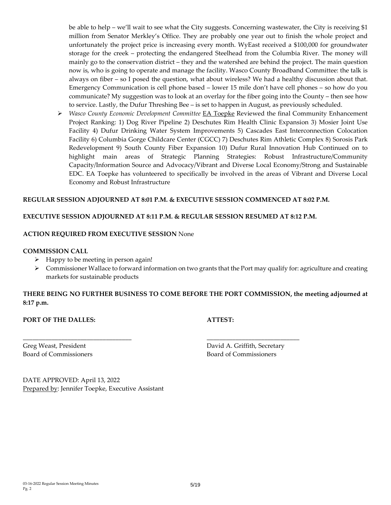be able to help – we'll wait to see what the City suggests. Concerning wastewater, the City is receiving \$1 million from Senator Merkley's Office. They are probably one year out to finish the whole project and unfortunately the project price is increasing every month. WyEast received a \$100,000 for groundwater storage for the creek – protecting the endangered Steelhead from the Columbia River. The money will mainly go to the conservation district – they and the watershed are behind the project. The main question now is, who is going to operate and manage the facility. Wasco County Broadband Committee: the talk is always on fiber – so I posed the question, what about wireless? We had a healthy discussion about that. Emergency Communication is cell phone based – lower 15 mile don't have cell phones – so how do you communicate? My suggestion was to look at an overlay for the fiber going into the County – then see how to service. Lastly, the Dufur Threshing Bee – is set to happen in August, as previously scheduled.

 *Wasco County Economic Development Committee* EA Toepke Reviewed the final Community Enhancement Project Ranking: 1) Dog River Pipeline 2) Deschutes Rim Health Clinic Expansion 3) Mosier Joint Use Facility 4) Dufur Drinking Water System Improvements 5) Cascades East Interconnection Colocation Facility 6) Columbia Gorge Childcare Center (CGCC) 7) Deschutes Rim Athletic Complex 8) Sorosis Park Redevelopment 9) South County Fiber Expansion 10) Dufur Rural Innovation Hub Continued on to highlight main areas of Strategic Planning Strategies: Robust Infrastructure/Community Capacity/Information Source and Advocacy/Vibrant and Diverse Local Economy/Strong and Sustainable EDC. EA Toepke has volunteered to specifically be involved in the areas of Vibrant and Diverse Local Economy and Robust Infrastructure

#### **REGULAR SESSION ADJOURNED AT 8:01 P.M. & EXECUTIVE SESSION COMMENCED AT 8:02 P.M.**

#### **EXECUTIVE SESSION ADJOURNED AT 8:11 P.M. & REGULAR SESSION RESUMED AT 8:12 P.M.**

\_\_\_\_\_\_\_\_\_\_\_\_\_\_\_\_\_\_\_\_\_\_\_\_\_\_\_\_\_\_\_\_\_\_ \_\_\_\_\_\_\_\_\_\_\_\_\_\_\_\_\_\_\_\_\_\_\_\_\_\_\_\_\_

#### **ACTION REQUIRED FROM EXECUTIVE SESSION** None

#### **COMMISSION CALL**

- $\triangleright$  Happy to be meeting in person again!
- $\triangleright$  Commissioner Wallace to forward information on two grants that the Port may qualify for: agriculture and creating markets for sustainable products

**THERE BEING NO FURTHER BUSINESS TO COME BEFORE THE PORT COMMISSION, the meeting adjourned at 8:17 p.m.**

#### **PORT OF THE DALLES: ATTEST:**

Board of Commissioners Board of Commissioners

Greg Weast, President **David A. Griffith, Secretary** 

DATE APPROVED: April 13, 2022 Prepared by: Jennifer Toepke, Executive Assistant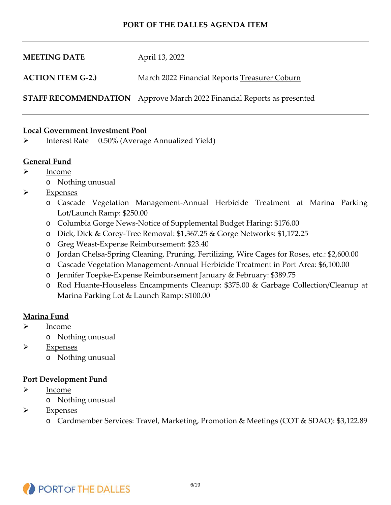| <b>MEETING DATE</b>      | April 13, 2022                                                                |
|--------------------------|-------------------------------------------------------------------------------|
| <b>ACTION ITEM G-2.)</b> | March 2022 Financial Reports Treasurer Coburn                                 |
|                          | <b>STAFF RECOMMENDATION</b> Approve March 2022 Financial Reports as presented |

#### **Local Government Investment Pool**

Interest Rate 0.50% (Average Annualized Yield)

#### **General Fund**

- $\triangleright$  Income
	- o Nothing unusual
- > Expenses
	- o Cascade Vegetation Management-Annual Herbicide Treatment at Marina Parking Lot/Launch Ramp: \$250.00
	- o Columbia Gorge News-Notice of Supplemental Budget Haring: \$176.00
	- o Dick, Dick & Corey-Tree Removal: \$1,367.25 & Gorge Networks: \$1,172.25
	- o Greg Weast-Expense Reimbursement: \$23.40
	- o Jordan Chelsa-Spring Cleaning, Pruning, Fertilizing, Wire Cages for Roses, etc.: \$2,600.00
	- o Cascade Vegetation Management-Annual Herbicide Treatment in Port Area: \$6,100.00
	- o Jennifer Toepke-Expense Reimbursement January & February: \$389.75
	- o Rod Huante-Houseless Encampments Cleanup: \$375.00 & Garbage Collection/Cleanup at Marina Parking Lot & Launch Ramp: \$100.00

#### **Marina Fund**

- Income
	- o Nothing unusual
- $\triangleright$  Expenses
	- o Nothing unusual

#### **Port Development Fund**

- $\triangleright$  Income
	- o Nothing unusual
- $\triangleright$  Expenses
	- o Cardmember Services: Travel, Marketing, Promotion & Meetings (COT & SDAO): \$3,122.89

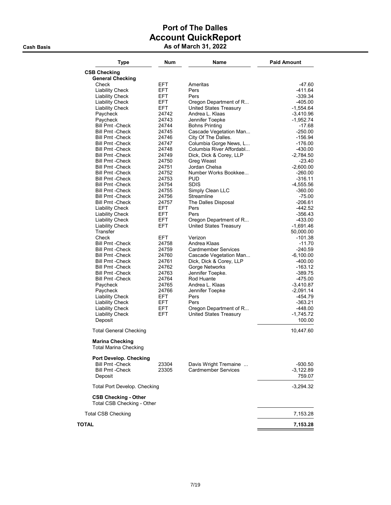## Port of The Dalles Account QuickReport Cash Basis **As of March 31, 2022**

| <b>Type</b>                                            | Num            | Name                                                | <b>Paid Amount</b>     |
|--------------------------------------------------------|----------------|-----------------------------------------------------|------------------------|
| <b>CSB Checking</b>                                    |                |                                                     |                        |
| <b>General Checking</b>                                |                |                                                     |                        |
| Check                                                  | EFT.           | Ameritas                                            | -47.60                 |
| <b>Liability Check</b>                                 | EFT.           | Pers                                                | $-411.64$              |
| <b>Liability Check</b>                                 | EFT.           | Pers                                                | $-339.34$              |
| <b>Liability Check</b>                                 | EFT.<br>EFT.   | Oregon Department of R                              | $-405.00$              |
| <b>Liability Check</b><br>Paycheck                     | 24742          | <b>United States Treasury</b><br>Andrea L. Klaas    | -1,554.64<br>-3,410.96 |
| Paycheck                                               | 24743          | Jennifer Toepke                                     | -1.952.74              |
| <b>Bill Pmt -Check</b>                                 | 24744          | <b>Bohns Printing</b>                               | -17.68                 |
| <b>Bill Pmt - Check</b>                                | 24745          | Cascade Vegetation Man                              | $-250.00$              |
| <b>Bill Pmt - Check</b>                                | 24746          | City Of The Dalles.                                 | -156.94                |
| <b>Bill Pmt -Check</b>                                 | 24747          | Columbia Gorge News, L                              | $-176.00$              |
| <b>Bill Pmt - Check</b>                                | 24748          | Columbia River Affordabl                            | $-430.00$              |
| Bill Pmt -Check                                        | 24749          | Dick, Dick & Corey, LLP                             | -2,784.50              |
| Bill Pmt -Check                                        | 24750          | Greg Weast                                          | -23.40                 |
| <b>Bill Pmt -Check</b>                                 | 24751          | Jordan Chelsa                                       | $-2,600.00$            |
| <b>Bill Pmt - Check</b>                                | 24752          | Number Works Bookkee                                | $-260.00$              |
| <b>Bill Pmt - Check</b>                                | 24753          | <b>PUD</b>                                          | $-316.11$              |
| <b>Bill Pmt - Check</b>                                | 24754          | <b>SDIS</b>                                         | -4,555.56              |
| Bill Pmt -Check                                        | 24755          | Simply Clean LLC                                    | $-360.00$              |
| Bill Pmt -Check                                        | 24756          | Streamline                                          | $-75.00$               |
| <b>Bill Pmt - Check</b>                                | 24757          | The Dalles Disposal                                 | $-206.61$              |
| <b>Liability Check</b>                                 | EFT.           | Pers                                                | -442.52                |
| <b>Liability Check</b>                                 | EFT.           | Pers                                                | -356.43                |
| <b>Liability Check</b>                                 | EFT.           | Oregon Department of R                              | $-433.00$              |
| <b>Liability Check</b>                                 | <b>EFT</b>     | <b>United States Treasury</b>                       | -1,691.46              |
| Transfer                                               |                |                                                     | 50,000.00              |
| Check                                                  | EFT.           | Verizon                                             | $-101.38$              |
| <b>Bill Pmt - Check</b>                                | 24758          | Andrea Klaas                                        | $-11.70$               |
| <b>Bill Pmt - Check</b>                                | 24759          | <b>Cardmember Services</b>                          | -240.59                |
| <b>Bill Pmt - Check</b>                                | 24760          | Cascade Vegetation Man                              | -6,100.00              |
| <b>Bill Pmt -Check</b>                                 | 24761          | Dick, Dick & Corey, LLP                             | $-400.00$              |
| <b>Bill Pmt - Check</b><br><b>Bill Pmt -Check</b>      | 24762<br>24763 | Gorge Networks<br>Jennifer Toepke.                  | $-163.12$<br>$-389.75$ |
| <b>Bill Pmt - Check</b>                                | 24764          | Rod Huante                                          | $-475.00$              |
| Paycheck                                               | 24765          | Andrea L. Klaas                                     | -3,410.87              |
| Paycheck                                               | 24766          | Jennifer Toepke                                     | -2,091.14              |
| <b>Liability Check</b>                                 | EFT.           | Pers                                                | -454.79                |
| <b>Liability Check</b>                                 | EFT.           | Pers                                                | -363.21                |
| <b>Liability Check</b>                                 | EFT.           | Oregon Department of R                              | -448.00                |
| <b>Liability Check</b>                                 | EFT.           | <b>United States Treasury</b>                       | -1,745.72              |
| Deposit                                                |                |                                                     | 100.00                 |
| <b>Total General Checking</b>                          |                |                                                     | 10,447.60              |
| <b>Marina Checking</b><br><b>Total Marina Checking</b> |                |                                                     |                        |
| Port Develop. Checking                                 |                |                                                     |                        |
| <b>Bill Pmt - Check</b><br><b>Bill Pmt - Check</b>     | 23304<br>23305 | Davis Wright Tremaine<br><b>Cardmember Services</b> | -930.50<br>$-3,122.89$ |
| Deposit                                                |                |                                                     | 759.07                 |
| <b>Total Port Develop. Checking</b>                    |                |                                                     | -3,294.32              |
| <b>CSB Checking - Other</b>                            |                |                                                     |                        |
| Total CSB Checking - Other                             |                |                                                     |                        |
| <b>Total CSB Checking</b>                              |                |                                                     | 7,153.28               |
| TOTAL                                                  |                |                                                     | 7,153.28               |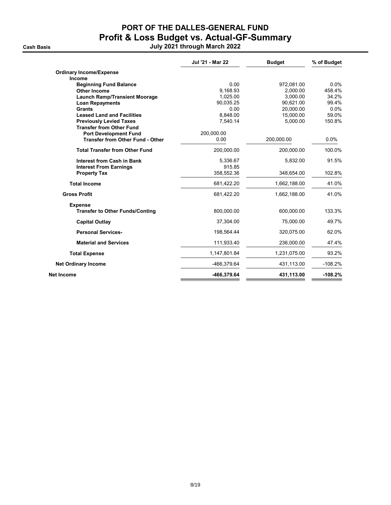**Cash Basis** 

# PORT OF THE DALLES-GENERAL FUND Profit & Loss Budget vs. Actual-GF-Summary

|  |  | July 2021 through March 2022 |  |  |
|--|--|------------------------------|--|--|
|--|--|------------------------------|--|--|

|                                         | Jul '21 - Mar 22 | <b>Budget</b> | % of Budget |
|-----------------------------------------|------------------|---------------|-------------|
| <b>Ordinary Income/Expense</b>          |                  |               |             |
| Income                                  |                  |               |             |
| <b>Beginning Fund Balance</b>           | 0.00             | 972,081.00    | 0.0%        |
| <b>Other Income</b>                     | 9.168.93         | 2.000.00      | 458.4%      |
| <b>Launch Ramp/Transient Moorage</b>    | 1,025.00         | 3,000.00      | 34.2%       |
| <b>Loan Repayments</b>                  | 90,035.25        | 90,621.00     | 99.4%       |
| <b>Grants</b>                           | 0.00             | 20.000.00     | 0.0%        |
| <b>Leased Land and Facilities</b>       | 8,848.00         | 15,000.00     | 59.0%       |
| <b>Previously Levied Taxes</b>          | 7.540.14         | 5.000.00      | 150.8%      |
| <b>Transfer from Other Fund</b>         |                  |               |             |
| <b>Port Development Fund</b>            | 200,000.00       |               |             |
| <b>Transfer from Other Fund - Other</b> | 0.00             | 200,000.00    | $0.0\%$     |
| <b>Total Transfer from Other Fund</b>   | 200.000.00       | 200,000.00    | 100.0%      |
| <b>Interest from Cash in Bank</b>       | 5,336.67         | 5,832.00      | 91.5%       |
| <b>Interest From Earnings</b>           | 915.85           |               |             |
| <b>Property Tax</b>                     | 358,552.36       | 348,654.00    | 102.8%      |
| <b>Total Income</b>                     | 681,422.20       | 1,662,188.00  | 41.0%       |
| <b>Gross Profit</b>                     | 681,422.20       | 1,662,188.00  | 41.0%       |
| <b>Expense</b>                          |                  |               |             |
| <b>Transfer to Other Funds/Conting</b>  | 800,000.00       | 600,000.00    | 133.3%      |
| <b>Capital Outlay</b>                   | 37,304.00        | 75,000.00     | 49.7%       |
| <b>Personal Services-</b>               | 198,564.44       | 320,075.00    | 62.0%       |
| <b>Material and Services</b>            | 111,933.40       | 236,000.00    | 47.4%       |
| <b>Total Expense</b>                    | 1,147,801.84     | 1,231,075.00  | 93.2%       |
| <b>Net Ordinary Income</b>              | -466,379.64      | 431,113.00    | $-108.2%$   |
| Net Income                              | -466,379.64      | 431,113.00    | $-108.2%$   |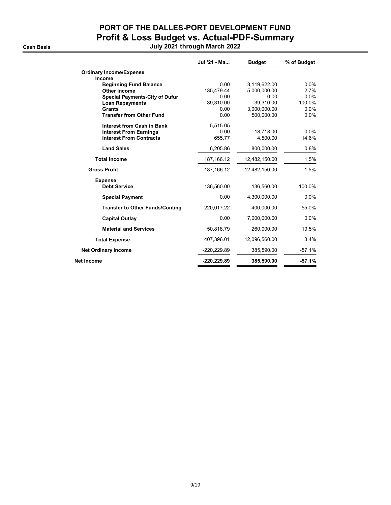## PORT OF THE DALLES-PORT DEVELOPMENT FUND Profit & Loss Budget vs. Actual-PDF-Summary Cash Basis July 2021 through March 2022

|                                        | Jul '21 - Ma | <b>Budget</b> | % of Budget |
|----------------------------------------|--------------|---------------|-------------|
| <b>Ordinary Income/Expense</b>         |              |               |             |
| Income                                 |              |               |             |
| <b>Beginning Fund Balance</b>          | 0.00         | 3,119,622.00  | $0.0\%$     |
| Other Income                           | 135,479.44   | 5,000,000.00  | 2.7%        |
| <b>Special Payments-City of Dufur</b>  | 0.00         | 0.00          | 0.0%        |
| <b>Loan Repayments</b>                 | 39.310.00    | 39.310.00     | 100.0%      |
| <b>Grants</b>                          | 0.00         | 3,000,000.00  | $0.0\%$     |
| <b>Transfer from Other Fund</b>        | 0.00         | 500,000.00    | 0.0%        |
| <b>Interest from Cash in Bank</b>      | 5,515.05     |               |             |
| <b>Interest From Earnings</b>          | 0.00         | 18,718.00     | $0.0\%$     |
| <b>Interest From Contracts</b>         | 655.77       | 4.500.00      | 14.6%       |
| <b>Land Sales</b>                      | 6,205.86     | 800,000.00    | 0.8%        |
| <b>Total Income</b>                    | 187, 166. 12 | 12,482,150.00 | 1.5%        |
| <b>Gross Profit</b>                    | 187, 166. 12 | 12,482,150.00 | 1.5%        |
| <b>Expense</b>                         |              |               |             |
| <b>Debt Service</b>                    | 136,560.00   | 136,560.00    | 100.0%      |
| <b>Special Payment</b>                 | 0.00         | 4,300,000.00  | $0.0\%$     |
| <b>Transfer to Other Funds/Conting</b> | 220,017.22   | 400,000.00    | 55.0%       |
| <b>Capital Outlay</b>                  | 0.00         | 7,000,000.00  | $0.0\%$     |
| <b>Material and Services</b>           | 50,818.79    | 260,000.00    | 19.5%       |
| <b>Total Expense</b>                   | 407,396.01   | 12,096,560.00 | 3.4%        |
| <b>Net Ordinary Income</b>             | -220,229.89  | 385,590.00    | $-57.1%$    |
| Net Income                             | -220,229.89  | 385,590.00    | $-57.1%$    |
|                                        |              |               |             |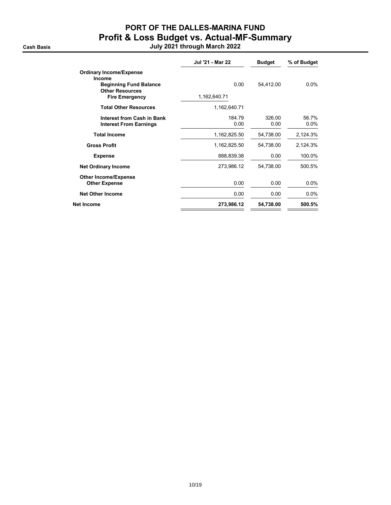## PORT OF THE DALLES-MARINA FUND Profit & Loss Budget vs. Actual-MF-Summary

Cash Basis July 2021 through March 2022

| Jul '21 - Mar 22 | <b>Budget</b>  | % of Budget      |
|------------------|----------------|------------------|
|                  |                |                  |
| 0.00             | 54,412.00      | $0.0\%$          |
| 1,162,640.71     |                |                  |
| 1,162,640.71     |                |                  |
| 184.79<br>0.00   | 326.00<br>0.00 | 56.7%<br>$0.0\%$ |
| 1,162,825.50     | 54,738.00      | 2,124.3%         |
| 1,162,825.50     | 54,738.00      | 2,124.3%         |
| 888,839.38       | 0.00           | 100.0%           |
| 273,986.12       | 54,738.00      | 500.5%           |
| 0.00             | 0.00           | $0.0\%$          |
| 0.00             | 0.00           | $0.0\%$          |
| 273,986.12       | 54,738.00      | 500.5%           |
|                  |                |                  |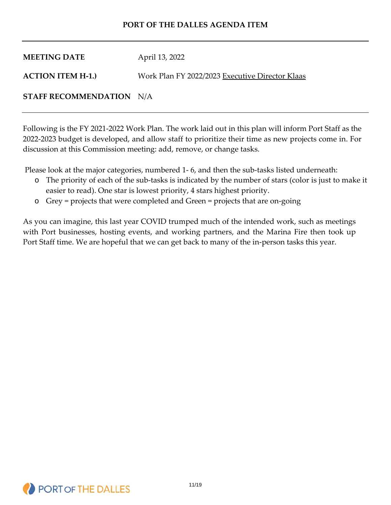| <b>MEETING DATE</b>      | April 13, 2022                                  |
|--------------------------|-------------------------------------------------|
| <b>ACTION ITEM H-1.)</b> | Work Plan FY 2022/2023 Executive Director Klaas |

#### **STAFF RECOMMENDATION** N/A

Following is the FY 2021-2022 Work Plan. The work laid out in this plan will inform Port Staff as the 2022-2023 budget is developed, and allow staff to prioritize their time as new projects come in. For discussion at this Commission meeting: add, remove, or change tasks.

Please look at the major categories, numbered 1- 6, and then the sub-tasks listed underneath:

- o The priority of each of the sub-tasks is indicated by the number of stars (color is just to make it easier to read). One star is lowest priority, 4 stars highest priority.
- o Grey = projects that were completed and Green = projects that are on-going

As you can imagine, this last year COVID trumped much of the intended work, such as meetings with Port businesses, hosting events, and working partners, and the Marina Fire then took up Port Staff time. We are hopeful that we can get back to many of the in-person tasks this year.

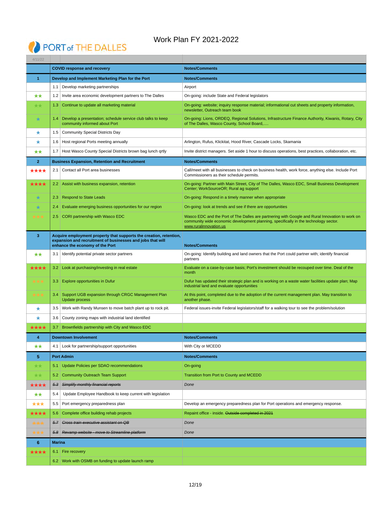# PORT of THE DALLES

## Work Plan FY 2021-2022

| 4/11/22              |                  |                                                                                                                                                                     |                                                                                                                                                                                                                   |
|----------------------|------------------|---------------------------------------------------------------------------------------------------------------------------------------------------------------------|-------------------------------------------------------------------------------------------------------------------------------------------------------------------------------------------------------------------|
|                      |                  | <b>COVID response and recovery</b>                                                                                                                                  | <b>Notes/Comments</b>                                                                                                                                                                                             |
| $\blacktriangleleft$ |                  | Develop and Implement Marketing Plan for the Port                                                                                                                   | <b>Notes/Comments</b>                                                                                                                                                                                             |
|                      | 1.1              | Develop marketing partnerships                                                                                                                                      | Airport                                                                                                                                                                                                           |
| **                   | 1.2              | Invite area economic development partners to The Dalles                                                                                                             | On-going: include State and Federal legislators                                                                                                                                                                   |
| **                   | 1.3 <sub>1</sub> | Continue to update all marketing material                                                                                                                           | On-going: website; inquiry response material; informational cut sheets and property information,<br>newsletter, Outreach team book                                                                                |
| $\star$              |                  | 1.4 Develop a presentation; schedule service club talks to keep<br>community informed about Port                                                                    | On-going: Lions, ORDEQ, Regional Solutions, Infrastructure Finance Authority, Kiwanis, Rotary, City<br>of The Dalles, Wasco County, School Board,                                                                 |
| ★                    | 1.5              | <b>Community Special Districts Day</b>                                                                                                                              |                                                                                                                                                                                                                   |
| ★                    | 1.6              | Host regional Ports meeting annually                                                                                                                                | Arlington, Rufus, Klickitat, Hood River, Cascade Locks, Skamania                                                                                                                                                  |
| **                   | 1.7              | Host Wasco County Special Districts brown bag lunch qrtly                                                                                                           | Invite district managers. Set aside 1 hour to discuss operations, best practices, collaboration, etc.                                                                                                             |
| $\overline{2}$       |                  | <b>Business Expansion, Retention and Recruitment</b>                                                                                                                | <b>Notes/Comments</b>                                                                                                                                                                                             |
| ****                 | 2.1              | Contact all Port area businesses                                                                                                                                    | Call/meet with all businesses to check on business health, work force, anything else. Include Port<br>Commissioners as their schedule permits.                                                                    |
| <del>、★★★</del>      |                  | 2.2 Assist with business expansion, retention                                                                                                                       | On-going: Partner with Main Street, City of The Dalles, Wasco EDC, Small Business Development<br>Center; WorkSourceOR; Rural ag support                                                                           |
| ╈                    |                  | 2.3   Respond to State Leads                                                                                                                                        | On-going: Respond in a timely manner when appropriate                                                                                                                                                             |
| ★                    | 2.4              | Evaluate emerging business opportunities for our region                                                                                                             | On-going: look at trends and see if there are opportunities                                                                                                                                                       |
| ***                  | $2.5^{\circ}$    | CORI partnership with Wasco EDC                                                                                                                                     | Wasco EDC and the Port of The Dalles are partnering with Google and Rural Innovation to work on<br>community wide economic development planning, specifically in the technology sector.<br>www.ruralinnovation.us |
| 3                    |                  | Acquire employment property that supports the creation, retention,<br>expansion and recruitment of businesses and jobs that will<br>enhance the economy of the Port | <b>Notes/Comments</b>                                                                                                                                                                                             |
| **                   | 3.1              | Identify potential private sector partners                                                                                                                          | On-going: Identify building and land owners that the Port could partner with; identify financial<br>partners                                                                                                      |
| <del>k★★★</del>      |                  | 3.2   Look at purchasing/investing in real estate                                                                                                                   | Evaluate on a case-by-case basis; Port's investment should be recouped over time. Deal of the<br>month                                                                                                            |
| ***                  |                  | 3.3 Explore opportunities in Dufur                                                                                                                                  | Dufur has updated their strategic plan and is working on a waste water facilities update plan; Map<br>industrial land and evaluate opportunities                                                                  |
| ★★★                  |                  | 3.4 Support UGB expansion through CRGC Management Plan<br><b>Update process</b>                                                                                     | At this point, completed due to the adoption of the current management plan. May transition to<br>another phase.                                                                                                  |
| ★                    | 3.5              | Work with Randy Munsen to move batch plant up to rock pit.                                                                                                          | Federal issues-invite Federal legislators/staff for a walking tour to see the problem/solution                                                                                                                    |
| ★                    | 3.6              | County zoning maps with industrial land identified                                                                                                                  |                                                                                                                                                                                                                   |
| ★★★★                 | $3.7^{\circ}$    | Brownfields partnership with City and Wasco EDC                                                                                                                     |                                                                                                                                                                                                                   |
| 4                    |                  | <b>Downtown Involvement</b>                                                                                                                                         | <b>Notes/Comments</b>                                                                                                                                                                                             |
| ★★                   | 4.1              | Look for partnership/support opportunities                                                                                                                          | With City or MCEDD                                                                                                                                                                                                |
| 5                    |                  | <b>Port Admin</b>                                                                                                                                                   | <b>Notes/Comments</b>                                                                                                                                                                                             |
| **                   | 5.1              | Update Policies per SDAO recommendations                                                                                                                            | On-going                                                                                                                                                                                                          |
| **                   | 5.2              | <b>Community Outreach Team Support</b>                                                                                                                              | Transition from Port to County and MCEDD                                                                                                                                                                          |
| ★★★★                 | 5.3              | Simplify monthly financial reports                                                                                                                                  | Done                                                                                                                                                                                                              |
| ★★                   | 5.4              | Update Employee Handbook to keep current with legislation                                                                                                           |                                                                                                                                                                                                                   |
| ***                  | 5.5              | Port emergency preparedness plan                                                                                                                                    | Develop an emergency preparedness plan for Port operations and emergency response.                                                                                                                                |
| ★★★★                 | 5.6              | Complete office building rehab projects                                                                                                                             | Repaint office - inside. Outside completed in 2021                                                                                                                                                                |
| ***                  | 5.7              | <b>Cross train executive assistant on QB</b>                                                                                                                        | Done                                                                                                                                                                                                              |
| ┢╈┪                  |                  | 5.8 Revamp website - move to Streamline platform                                                                                                                    | Done                                                                                                                                                                                                              |
| 6                    | <b>Marina</b>    |                                                                                                                                                                     |                                                                                                                                                                                                                   |
| ★★★★                 | 6.1              | Fire recovery                                                                                                                                                       |                                                                                                                                                                                                                   |
|                      |                  | 6.2 Work with OSMB on funding to update launch ramp                                                                                                                 |                                                                                                                                                                                                                   |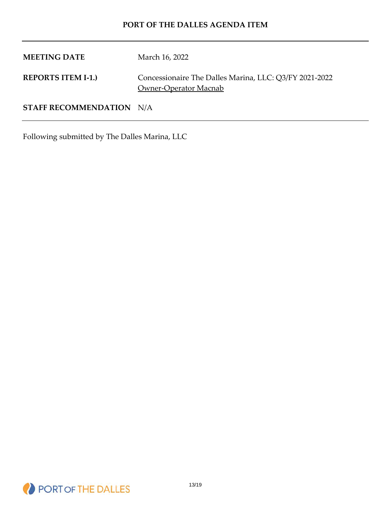**MEETING DATE** March 16, 2022 **REPORTS ITEM I-1.)** Concessionaire The Dalles Marina, LLC: Q3/FY 2021-2022 Owner-Operator Macnab **STAFF RECOMMENDATION** N/A

Following submitted by The Dalles Marina, LLC

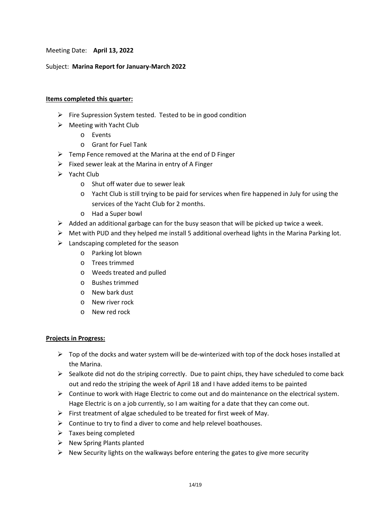Meeting Date: **April 13, 2022**

#### Subject: **Marina Report for January-March 2022**

#### **Items completed this quarter:**

- $\triangleright$  Fire Supression System tested. Tested to be in good condition
- $\triangleright$  Meeting with Yacht Club
	- o Events
	- o Grant for Fuel Tank
- $\triangleright$  Temp Fence removed at the Marina at the end of D Finger
- $\triangleright$  Fixed sewer leak at the Marina in entry of A Finger
- $\triangleright$  Yacht Club
	- o Shut off water due to sewer leak
	- o Yacht Club is still trying to be paid for services when fire happened in July for using the services of the Yacht Club for 2 months.
	- o Had a Super bowl
- $\triangleright$  Added an additional garbage can for the busy season that will be picked up twice a week.
- $\triangleright$  Met with PUD and they helped me install 5 additional overhead lights in the Marina Parking lot.
- $\blacktriangleright$  Landscaping completed for the season
	- o Parking lot blown
	- o Trees trimmed
	- o Weeds treated and pulled
	- o Bushes trimmed
	- o New bark dust
	- o New river rock
	- o New red rock

#### **Projects in Progress:**

- $\triangleright$  Top of the docks and water system will be de-winterized with top of the dock hoses installed at the Marina.
- $\triangleright$  Sealkote did not do the striping correctly. Due to paint chips, they have scheduled to come back out and redo the striping the week of April 18 and I have added items to be painted
- $\triangleright$  Continue to work with Hage Electric to come out and do maintenance on the electrical system. Hage Electric is on a job currently, so I am waiting for a date that they can come out.
- $\triangleright$  First treatment of algae scheduled to be treated for first week of May.
- $\triangleright$  Continue to try to find a diver to come and help relevel boathouses.
- $\triangleright$  Taxes being completed
- $\triangleright$  New Spring Plants planted
- $\triangleright$  New Security lights on the walkways before entering the gates to give more security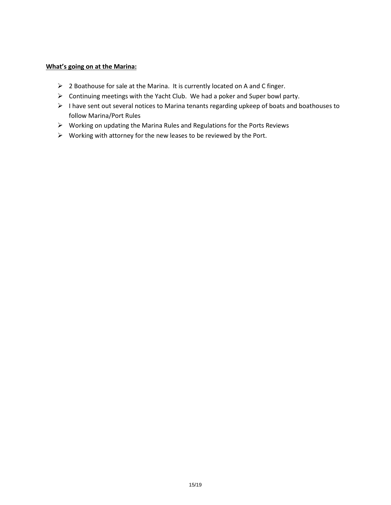#### **What's going on at the Marina:**

- $\triangleright$  2 Boathouse for sale at the Marina. It is currently located on A and C finger.
- Continuing meetings with the Yacht Club. We had a poker and Super bowl party.
- I have sent out several notices to Marina tenants regarding upkeep of boats and boathouses to follow Marina/Port Rules
- $\triangleright$  Working on updating the Marina Rules and Regulations for the Ports Reviews
- $\triangleright$  Working with attorney for the new leases to be reviewed by the Port.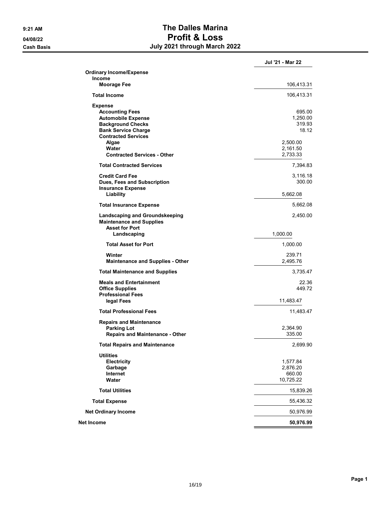## 9:21 AM SALES DALLES Marina 04/08/22 Profit & Loss Cash Basis July 2021 through March 2022

|                                                                                            | Jul '21 - Mar 22     |
|--------------------------------------------------------------------------------------------|----------------------|
| <b>Ordinary Income/Expense</b>                                                             |                      |
| <b>Income</b><br><b>Moorage Fee</b>                                                        | 106,413.31           |
|                                                                                            |                      |
| <b>Total Income</b>                                                                        | 106,413.31           |
| <b>Expense</b>                                                                             |                      |
| <b>Accounting Fees</b><br><b>Automobile Expense</b>                                        | 695.00<br>1,250.00   |
| <b>Background Checks</b>                                                                   | 319.93               |
| <b>Bank Service Charge</b>                                                                 | 18.12                |
| <b>Contracted Services</b>                                                                 |                      |
| Algae<br>Water                                                                             | 2,500.00             |
| <b>Contracted Services - Other</b>                                                         | 2,161.50<br>2,733.33 |
| <b>Total Contracted Services</b>                                                           | 7,394.83             |
| <b>Credit Card Fee</b>                                                                     |                      |
| Dues, Fees and Subscription                                                                | 3,116.18<br>300.00   |
| <b>Insurance Expense</b>                                                                   |                      |
| Liability                                                                                  | 5,662.08             |
| <b>Total Insurance Expense</b>                                                             | 5,662.08             |
| Landscaping and Groundskeeping<br><b>Maintenance and Supplies</b><br><b>Asset for Port</b> | 2,450.00             |
| Landscaping                                                                                | 1,000.00             |
| <b>Total Asset for Port</b>                                                                | 1,000.00             |
| Winter                                                                                     | 239.71               |
| <b>Maintenance and Supplies - Other</b>                                                    | 2,495.76             |
| <b>Total Maintenance and Supplies</b>                                                      | 3,735.47             |
| <b>Meals and Entertainment</b>                                                             | 22.36                |
| <b>Office Supplies</b>                                                                     | 449.72               |
| <b>Professional Fees</b>                                                                   |                      |
| legal Fees                                                                                 | 11,483.47            |
| <b>Total Professional Fees</b>                                                             | 11,483.47            |
| <b>Repairs and Maintenance</b>                                                             |                      |
| <b>Parking Lot</b><br><b>Repairs and Maintenance - Other</b>                               | 2,364.90<br>335.00   |
| <b>Total Repairs and Maintenance</b>                                                       | 2,699.90             |
|                                                                                            |                      |
| <b>Utilities</b><br>Electricity                                                            | 1,577.84             |
| Garbage                                                                                    | 2,876.20             |
| Internet                                                                                   | 660.00               |
| Water                                                                                      | 10,725.22            |
| <b>Total Utilities</b>                                                                     | 15,839.26            |
| <b>Total Expense</b>                                                                       | 55,436.32            |
| <b>Net Ordinary Income</b>                                                                 | 50,976.99            |
| Net Income                                                                                 | 50,976.99            |
|                                                                                            |                      |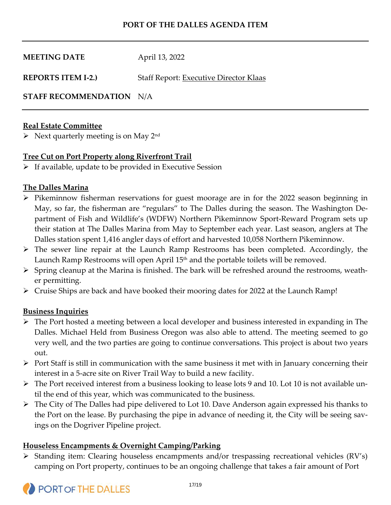| <b>MEETING DATE</b>       | April 13, 2022                                |
|---------------------------|-----------------------------------------------|
| <b>REPORTS ITEM I-2.)</b> | <b>Staff Report: Executive Director Klaas</b> |

**STAFF RECOMMENDATION** N/A

## **Real Estate Committee**

 $\triangleright$  Next quarterly meeting is on May 2<sup>nd</sup>

## **Tree Cut on Port Property along Riverfront Trail**

 $\triangleright$  If available, update to be provided in Executive Session

## **The Dalles Marina**

- $\triangleright$  Pikeminnow fisherman reservations for guest moorage are in for the 2022 season beginning in May, so far, the fisherman are "regulars" to The Dalles during the season. The Washington Department of Fish and Wildlife's (WDFW) Northern Pikeminnow Sport-Reward Program sets up their station at The Dalles Marina from May to September each year. Last season, anglers at The Dalles station spent 1,416 angler days of effort and harvested 10,058 Northern Pikeminnow.
- The sewer line repair at the Launch Ramp Restrooms has been completed. Accordingly, the Launch Ramp Restrooms will open April 15<sup>th</sup> and the portable toilets will be removed.
- $\triangleright$  Spring cleanup at the Marina is finished. The bark will be refreshed around the restrooms, weather permitting.
- $\triangleright$  Cruise Ships are back and have booked their mooring dates for 2022 at the Launch Ramp!

## **Business Inquiries**

- The Port hosted a meeting between a local developer and business interested in expanding in The Dalles. Michael Held from Business Oregon was also able to attend. The meeting seemed to go very well, and the two parties are going to continue conversations. This project is about two years out.
- $\triangleright$  Port Staff is still in communication with the same business it met with in January concerning their interest in a 5-acre site on River Trail Way to build a new facility.
- $\triangleright$  The Port received interest from a business looking to lease lots 9 and 10. Lot 10 is not available until the end of this year, which was communicated to the business.
- The City of The Dalles had pipe delivered to Lot 10. Dave Anderson again expressed his thanks to the Port on the lease. By purchasing the pipe in advance of needing it, the City will be seeing savings on the Dogriver Pipeline project.

## **Houseless Encampments & Overnight Camping/Parking**

 $\triangleright$  Standing item: Clearing houseless encampments and/or trespassing recreational vehicles (RV's) camping on Port property, continues to be an ongoing challenge that takes a fair amount of Port

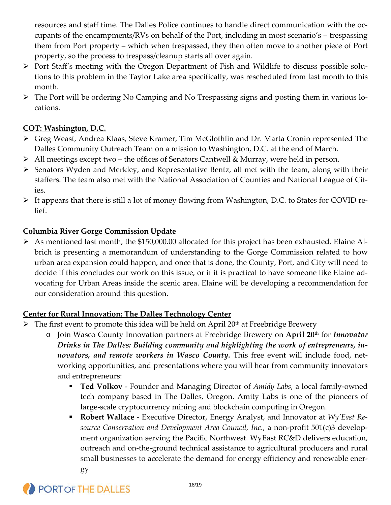resources and staff time. The Dalles Police continues to handle direct communication with the occupants of the encampments/RVs on behalf of the Port, including in most scenario's – trespassing them from Port property – which when trespassed, they then often move to another piece of Port property, so the process to trespass/cleanup starts all over again.

- $\triangleright$  Port Staff's meeting with the Oregon Department of Fish and Wildlife to discuss possible solutions to this problem in the Taylor Lake area specifically, was rescheduled from last month to this month.
- The Port will be ordering No Camping and No Trespassing signs and posting them in various locations.

## **COT: Washington, D.C.**

- Greg Weast, Andrea Klaas, Steve Kramer, Tim McGlothlin and Dr. Marta Cronin represented The Dalles Community Outreach Team on a mission to Washington, D.C. at the end of March.
- All meetings except two the offices of Senators Cantwell & Murray, were held in person.
- $\triangleright$  Senators Wyden and Merkley, and Representative Bentz, all met with the team, along with their staffers. The team also met with the National Association of Counties and National League of Cities.
- $\triangleright$  It appears that there is still a lot of money flowing from Washington, D.C. to States for COVID relief.

## **Columbia River Gorge Commission Update**

 As mentioned last month, the \$150,000.00 allocated for this project has been exhausted. Elaine Albrich is presenting a memorandum of understanding to the Gorge Commission related to how urban area expansion could happen, and once that is done, the County, Port, and City will need to decide if this concludes our work on this issue, or if it is practical to have someone like Elaine advocating for Urban Areas inside the scenic area. Elaine will be developing a recommendation for our consideration around this question.

## **Center for Rural Innovation: The Dalles Technology Center**

- $\triangleright$  The first event to promote this idea will be held on April 20<sup>th</sup> at Freebridge Brewery
	- o Join Wasco County Innovation partners at Freebridge Brewery on **April 20th** for *Innovator Drinks in The Dalles: Building community and highlighting the work of entrepreneurs, innovators, and remote workers in Wasco County.* This free event will include food, networking opportunities, and presentations where you will hear from community innovators and entrepreneurs:
		- **Ted Volkov** Founder and Managing Director of *Amidy Labs*, a local family-owned tech company based in The Dalles, Oregon. Amity Labs is one of the pioneers of large-scale cryptocurrency mining and blockchain computing in Oregon.
		- **Robert Wallace** Executive Director, Energy Analyst, and Innovator at *Wy'East Resource Conservation and Development Area Council, Inc.*, a non-profit 501(c)3 development organization serving the Pacific Northwest. WyEast RC&D delivers education, outreach and on-the-ground technical assistance to agricultural producers and rural small businesses to accelerate the demand for energy efficiency and renewable energy.